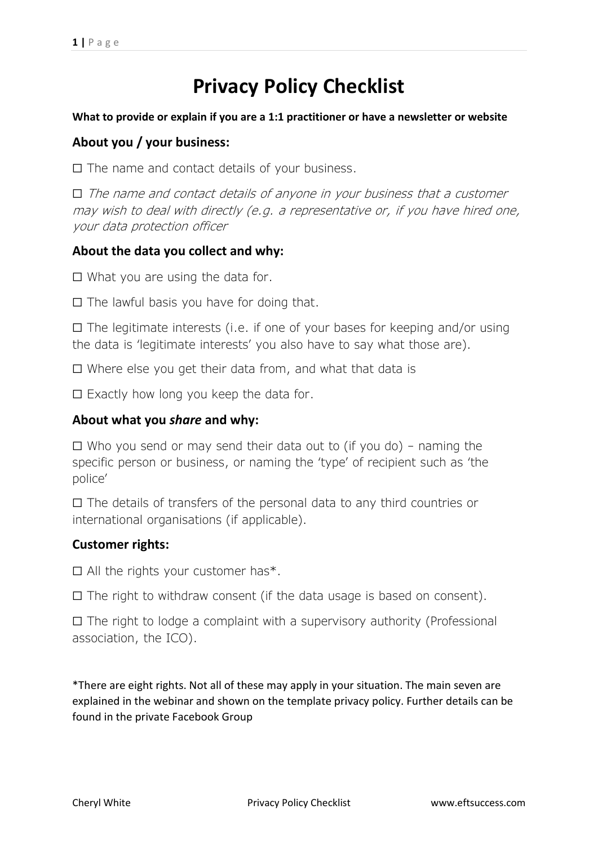# **Privacy Policy Checklist**

#### **What to provide or explain if you are a 1:1 practitioner or have a newsletter or website**

## **About you / your business:**

☐ The name and contact details of your business.

 $\Box$  The name and contact details of anyone in your business that a customer may wish to deal with directly (e.g. a representative or, if you have hired one, your data protection officer

## **About the data you collect and why:**

 $\Box$  What you are using the data for.

☐ The lawful basis you have for doing that.

 $\Box$  The legitimate interests (i.e. if one of your bases for keeping and/or using the data is 'legitimate interests' you also have to say what those are).

☐ Where else you get their data from, and what that data is

 $\Box$  Exactly how long you keep the data for.

## **About what you** *share* **and why:**

 $\Box$  Who you send or may send their data out to (if you do) – naming the specific person or business, or naming the 'type' of recipient such as 'the police'

☐ The details of transfers of the personal data to any third countries or international organisations (if applicable).

## **Customer rights:**

 $\Box$  All the rights your customer has\*.

 $\Box$  The right to withdraw consent (if the data usage is based on consent).

 $\Box$  The right to lodge a complaint with a supervisory authority (Professional association, the ICO).

\*There are eight rights. Not all of these may apply in your situation. The main seven are explained in the webinar and shown on the template privacy policy. Further details can be found in the private Facebook Group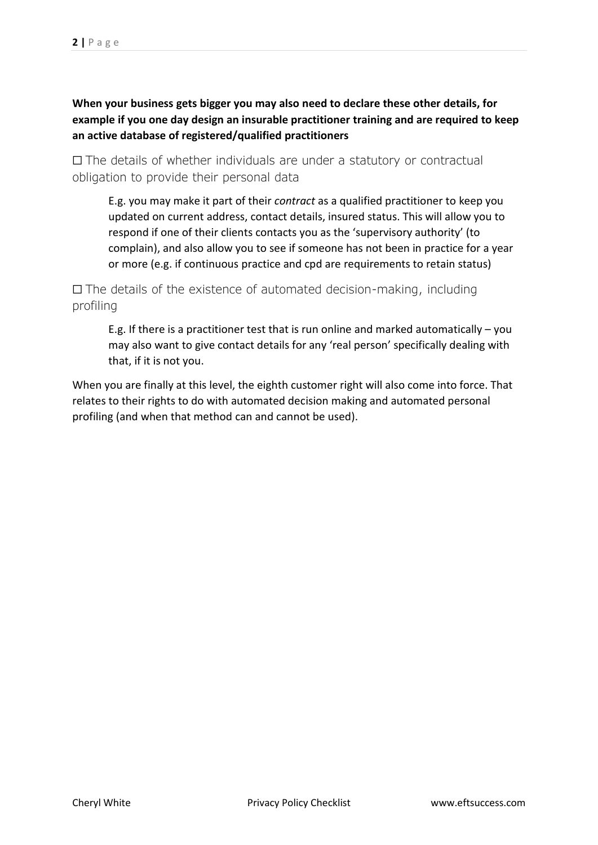**When your business gets bigger you may also need to declare these other details, for example if you one day design an insurable practitioner training and are required to keep an active database of registered/qualified practitioners**

☐ The details of whether individuals are under a statutory or contractual obligation to provide their personal data

E.g. you may make it part of their *contract* as a qualified practitioner to keep you updated on current address, contact details, insured status. This will allow you to respond if one of their clients contacts you as the 'supervisory authority' (to complain), and also allow you to see if someone has not been in practice for a year or more (e.g. if continuous practice and cpd are requirements to retain status)

☐ The details of the existence of automated decision-making, including profiling

E.g. If there is a practitioner test that is run online and marked automatically – you may also want to give contact details for any 'real person' specifically dealing with that, if it is not you.

When you are finally at this level, the eighth customer right will also come into force. That relates to their rights to do with automated decision making and automated personal profiling (and when that method can and cannot be used).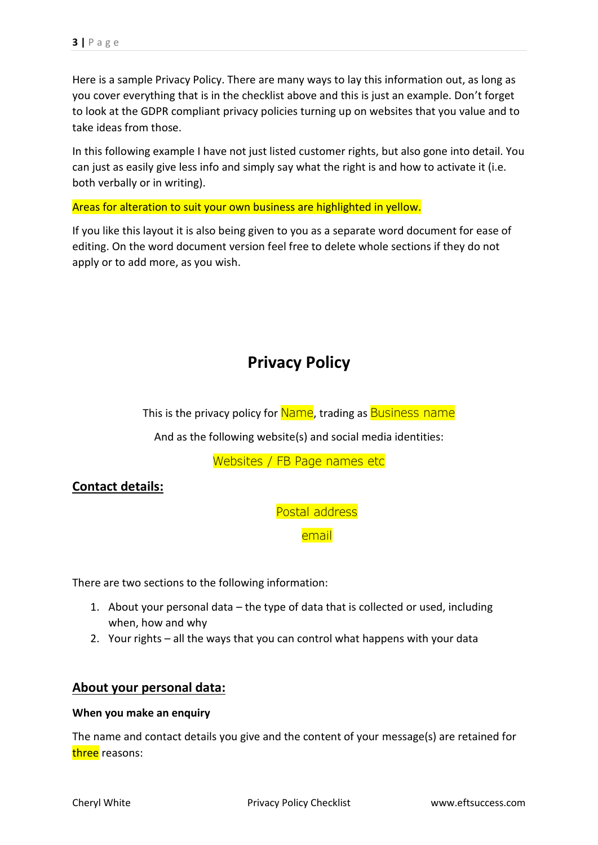Here is a sample Privacy Policy. There are many ways to lay this information out, as long as you cover everything that is in the checklist above and this is just an example. Don't forget to look at the GDPR compliant privacy policies turning up on websites that you value and to take ideas from those.

In this following example I have not just listed customer rights, but also gone into detail. You can just as easily give less info and simply say what the right is and how to activate it (i.e. both verbally or in writing).

Areas for alteration to suit your own business are highlighted in yellow.

If you like this layout it is also being given to you as a separate word document for ease of editing. On the word document version feel free to delete whole sections if they do not apply or to add more, as you wish.

## **Privacy Policy**

This is the privacy policy for Name, trading as Business name

And as the following website(s) and social media identities:

Websites / FB Page names etc

**Contact details:**

Postal address

email

There are two sections to the following information:

- 1. About your personal data the type of data that is collected or used, including when, how and why
- 2. Your rights all the ways that you can control what happens with your data

### **About your personal data:**

#### **When you make an enquiry**

The name and contact details you give and the content of your message(s) are retained for three reasons: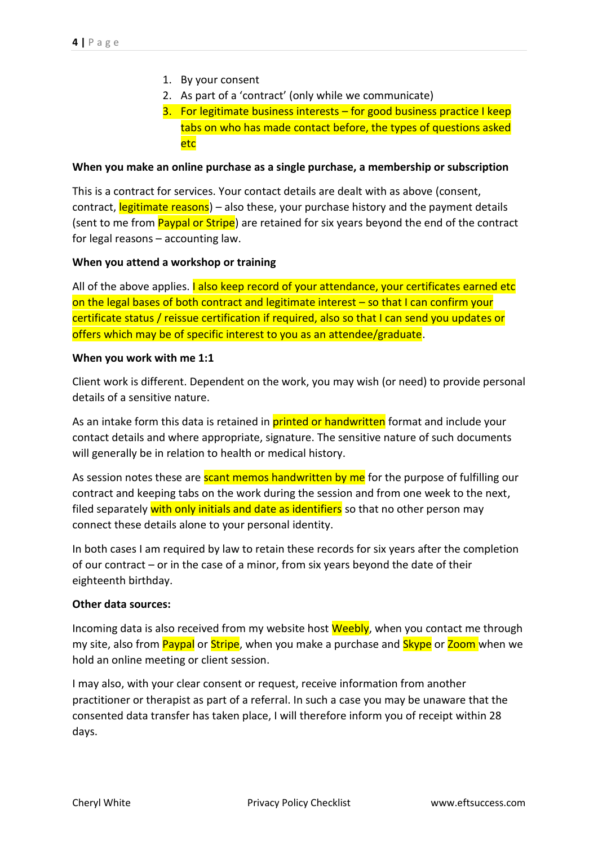- 1. By your consent
- 2. As part of a 'contract' (only while we communicate)
- 3. For legitimate business interests for good business practice I keep tabs on who has made contact before, the types of questions asked etc

#### **When you make an online purchase as a single purchase, a membership or subscription**

This is a contract for services. Your contact details are dealt with as above (consent, contract, legitimate reasons) – also these, your purchase history and the payment details (sent to me from Paypal or Stripe) are retained for six years beyond the end of the contract for legal reasons – accounting law.

#### **When you attend a workshop or training**

All of the above applies. I also keep record of your attendance, your certificates earned etc on the legal bases of both contract and legitimate interest – so that I can confirm your certificate status / reissue certification if required, also so that I can send you updates or offers which may be of specific interest to you as an attendee/graduate.

#### **When you work with me 1:1**

Client work is different. Dependent on the work, you may wish (or need) to provide personal details of a sensitive nature.

As an intake form this data is retained in **printed or handwritten** format and include your contact details and where appropriate, signature. The sensitive nature of such documents will generally be in relation to health or medical history.

As session notes these are **scant memos handwritten by me** for the purpose of fulfilling our contract and keeping tabs on the work during the session and from one week to the next, filed separately with only initials and date as identifiers so that no other person may connect these details alone to your personal identity.

In both cases I am required by law to retain these records for six years after the completion of our contract – or in the case of a minor, from six years beyond the date of their eighteenth birthday.

#### **Other data sources:**

Incoming data is also received from my website host Weebly, when you contact me through my site, also from Paypal or Stripe, when you make a purchase and Skype or Zoom when we hold an online meeting or client session.

I may also, with your clear consent or request, receive information from another practitioner or therapist as part of a referral. In such a case you may be unaware that the consented data transfer has taken place, I will therefore inform you of receipt within 28 days.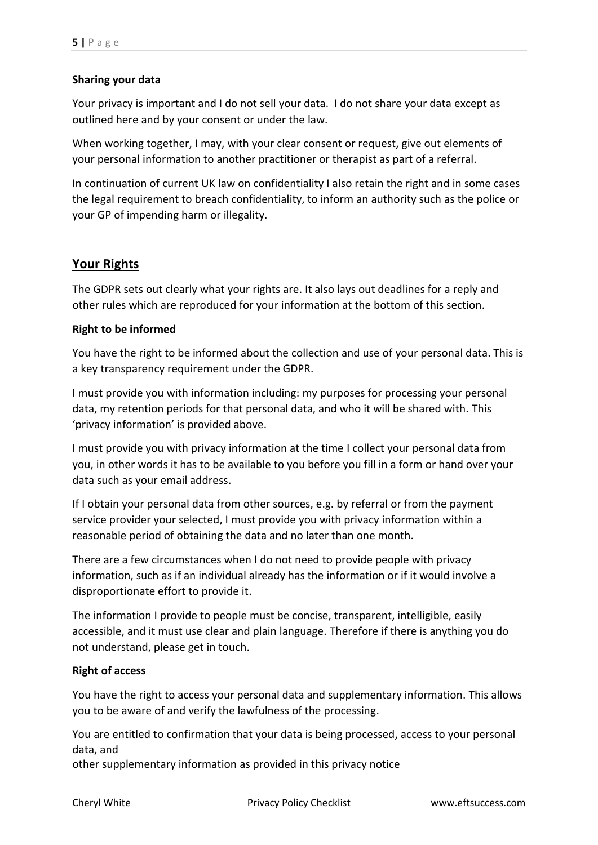#### **Sharing your data**

Your privacy is important and I do not sell your data. I do not share your data except as outlined here and by your consent or under the law.

When working together, I may, with your clear consent or request, give out elements of your personal information to another practitioner or therapist as part of a referral.

In continuation of current UK law on confidentiality I also retain the right and in some cases the legal requirement to breach confidentiality, to inform an authority such as the police or your GP of impending harm or illegality.

## **Your Rights**

The GDPR sets out clearly what your rights are. It also lays out deadlines for a reply and other rules which are reproduced for your information at the bottom of this section.

#### **Right to be informed**

You have the right to be informed about the collection and use of your personal data. This is a key transparency requirement under the GDPR.

I must provide you with information including: my purposes for processing your personal data, my retention periods for that personal data, and who it will be shared with. This 'privacy information' is provided above.

I must provide you with privacy information at the time I collect your personal data from you, in other words it has to be available to you before you fill in a form or hand over your data such as your email address.

If I obtain your personal data from other sources, e.g. by referral or from the payment service provider your selected, I must provide you with privacy information within a reasonable period of obtaining the data and no later than one month.

There are a few circumstances when I do not need to provide people with privacy information, such as if an individual already has the information or if it would involve a disproportionate effort to provide it.

The information I provide to people must be concise, transparent, intelligible, easily accessible, and it must use clear and plain language. Therefore if there is anything you do not understand, please get in touch.

#### **Right of access**

You have the right to access your personal data and supplementary information. This allows you to be aware of and verify the lawfulness of the processing.

You are entitled to confirmation that your data is being processed, access to your personal data, and

other supplementary information as provided in this privacy notice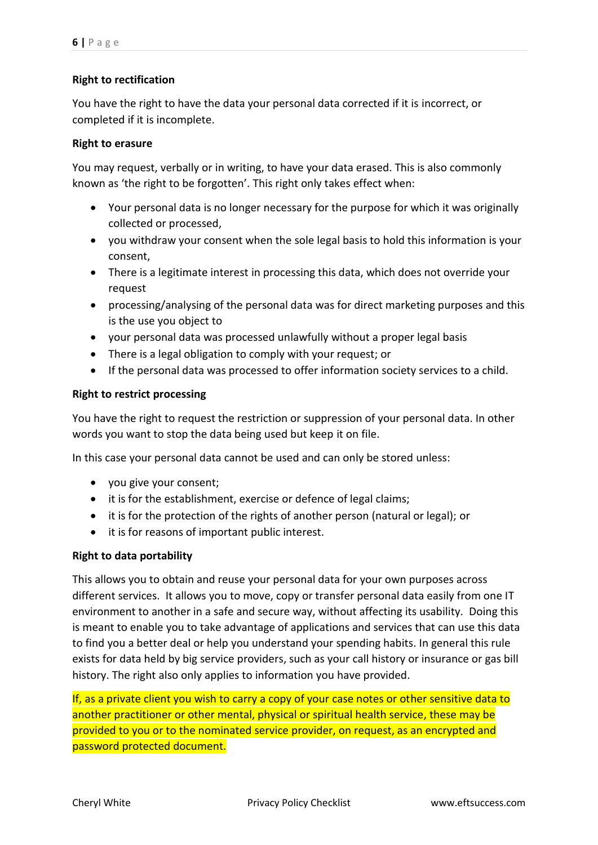#### **Right to rectification**

You have the right to have the data your personal data corrected if it is incorrect, or completed if it is incomplete.

#### **Right to erasure**

You may request, verbally or in writing, to have your data erased. This is also commonly known as 'the right to be forgotten'. This right only takes effect when:

- Your personal data is no longer necessary for the purpose for which it was originally collected or processed,
- you withdraw your consent when the sole legal basis to hold this information is your consent,
- There is a legitimate interest in processing this data, which does not override your request
- processing/analysing of the personal data was for direct marketing purposes and this is the use you object to
- your personal data was processed unlawfully without a proper legal basis
- There is a legal obligation to comply with your request; or
- If the personal data was processed to offer information society services to a child.

#### **Right to restrict processing**

You have the right to request the restriction or suppression of your personal data. In other words you want to stop the data being used but keep it on file.

In this case your personal data cannot be used and can only be stored unless:

- you give your consent;
- it is for the establishment, exercise or defence of legal claims;
- it is for the protection of the rights of another person (natural or legal); or
- it is for reasons of important public interest.

#### **Right to data portability**

This allows you to obtain and reuse your personal data for your own purposes across different services. It allows you to move, copy or transfer personal data easily from one IT environment to another in a safe and secure way, without affecting its usability. Doing this is meant to enable you to take advantage of applications and services that can use this data to find you a better deal or help you understand your spending habits. In general this rule exists for data held by big service providers, such as your call history or insurance or gas bill history. The right also only applies to information you have provided.

If, as a private client you wish to carry a copy of your case notes or other sensitive data to another practitioner or other mental, physical or spiritual health service, these may be provided to you or to the nominated service provider, on request, as an encrypted and password protected document.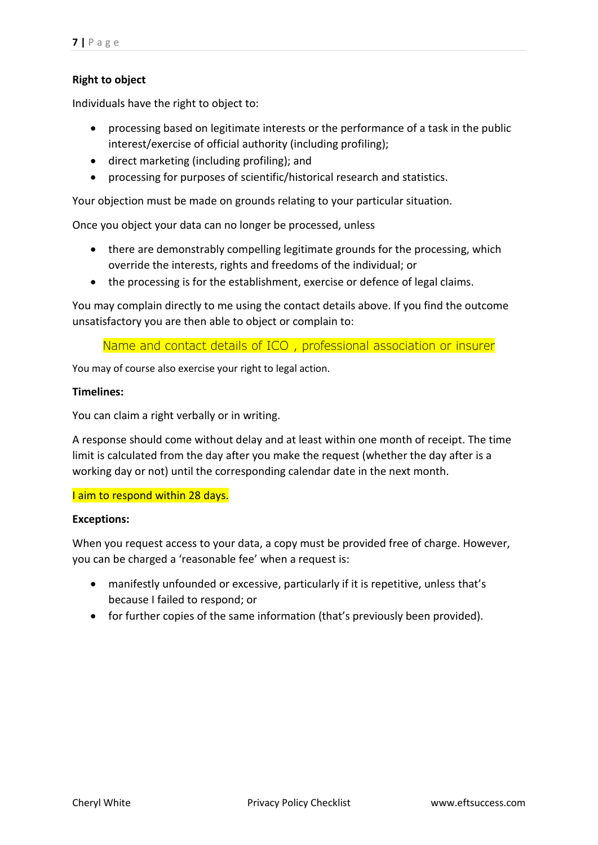#### **Right to object**

Individuals have the right to object to:

- processing based on legitimate interests or the performance of a task in the public interest/exercise of official authority (including profiling);
- direct marketing (including profiling); and
- processing for purposes of scientific/historical research and statistics.

Your objection must be made on grounds relating to your particular situation.

Once you object your data can no longer be processed, unless

- there are demonstrably compelling legitimate grounds for the processing, which override the interests, rights and freedoms of the individual; or
- the processing is for the establishment, exercise or defence of legal claims.

You may complain directly to me using the contact details above. If you find the outcome unsatisfactory you are then able to object or complain to:

Name and contact details of ICO , professional association or insurer

You may of course also exercise your right to legal action.

#### **Timelines:**

You can claim a right verbally or in writing.

A response should come without delay and at least within one month of receipt. The time limit is calculated from the day after you make the request (whether the day after is a working day or not) until the corresponding calendar date in the next month.

#### I aim to respond within 28 days.

#### **Exceptions:**

When you request access to your data, a copy must be provided free of charge. However, you can be charged a 'reasonable fee' when a request is:

- manifestly unfounded or excessive, particularly if it is repetitive, unless that's because I failed to respond; or
- for further copies of the same information (that's previously been provided).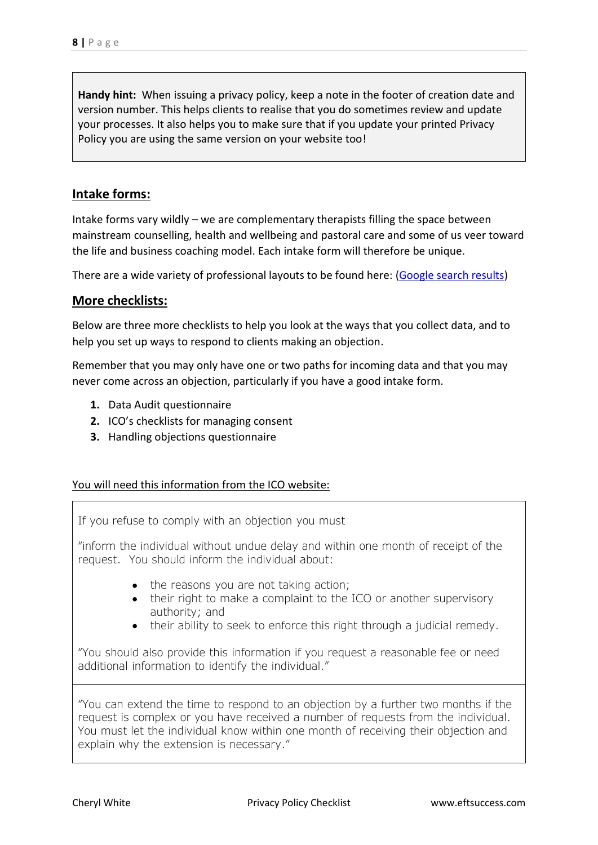**Handy hint:** When issuing a privacy policy, keep a note in the footer of creation date and version number. This helps clients to realise that you do sometimes review and update your processes. It also helps you to make sure that if you update your printed Privacy Policy you are using the same version on your website too!

## **Intake forms:**

Intake forms vary wildly – we are complementary therapists filling the space between mainstream counselling, health and wellbeing and pastoral care and some of us veer toward the life and business coaching model. Each intake form will therefore be unique.

There are a wide variety of professional layouts to be found here: [\(Google search results\)](https://www.google.co.uk/search?rlz=1C1CHBF_en-GBGB788GB788&ei=fmH4WoXJMsqbgAaI_qDoAw&q=counseling+intake+assessment+form+UK&oq=counseling+intake+assessment+form+UK&gs_l=psy-ab.3...2919.3669.0.5255.3.3.0.0.0.0.178.486.0j3.3.0....0...1.1.64.psy-ab..0.2.310...0i22i30k1j33i21k1.0.sIYKmdtzhuc)

#### **More checklists:**

Below are three more checklists to help you look at the ways that you collect data, and to help you set up ways to respond to clients making an objection.

Remember that you may only have one or two paths for incoming data and that you may never come across an objection, particularly if you have a good intake form.

- **1.** Data Audit questionnaire
- **2.** ICO's checklists for managing consent
- **3.** Handling objections questionnaire

#### You will need this information from the ICO website:

If you refuse to comply with an objection you must

"inform the individual without undue delay and within one month of receipt of the request. You should inform the individual about:

- the reasons you are not taking action;
- their right to make a complaint to the ICO or another supervisory authority; and
- their ability to seek to enforce this right through a judicial remedy.

"You should also provide this information if you request a reasonable fee or need additional information to identify the individual."

"You can extend the time to respond to an objection by a further two months if the request is complex or you have received a number of requests from the individual. You must let the individual know within one month of receiving their objection and explain why the extension is necessary."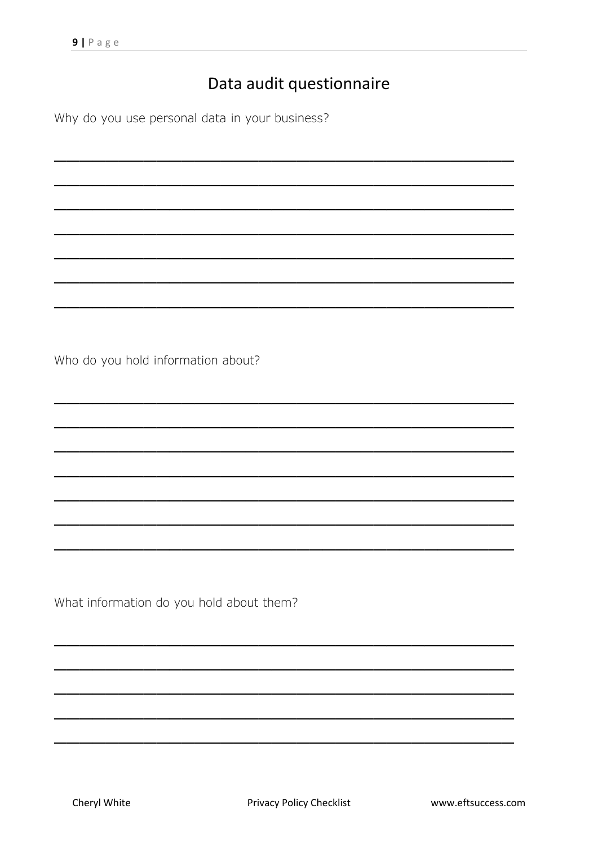## Data audit questionnaire

Why do you use personal data in your business?

Who do you hold information about?

What information do you hold about them?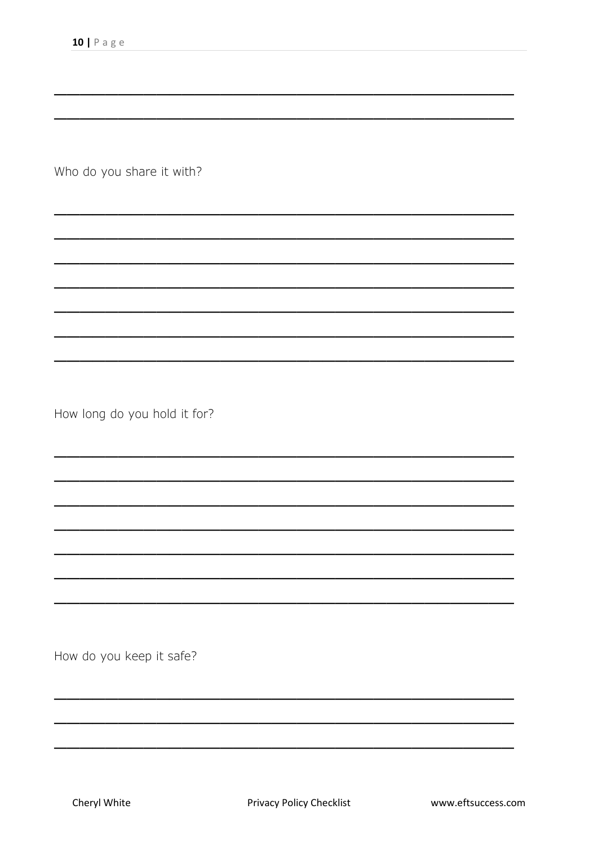Who do you share it with?

How long do you hold it for?

How do you keep it safe?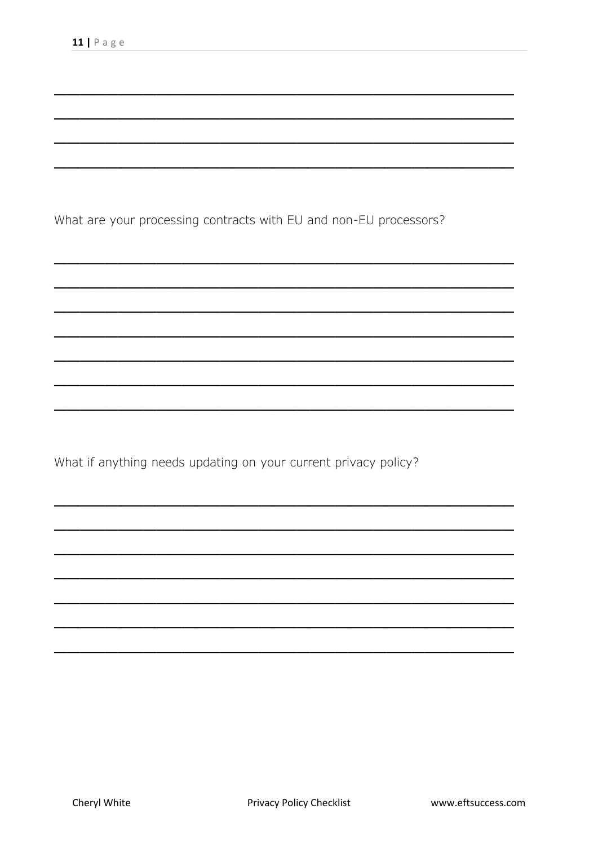What are your processing contracts with EU and non-EU processors?

What if anything needs updating on your current privacy policy?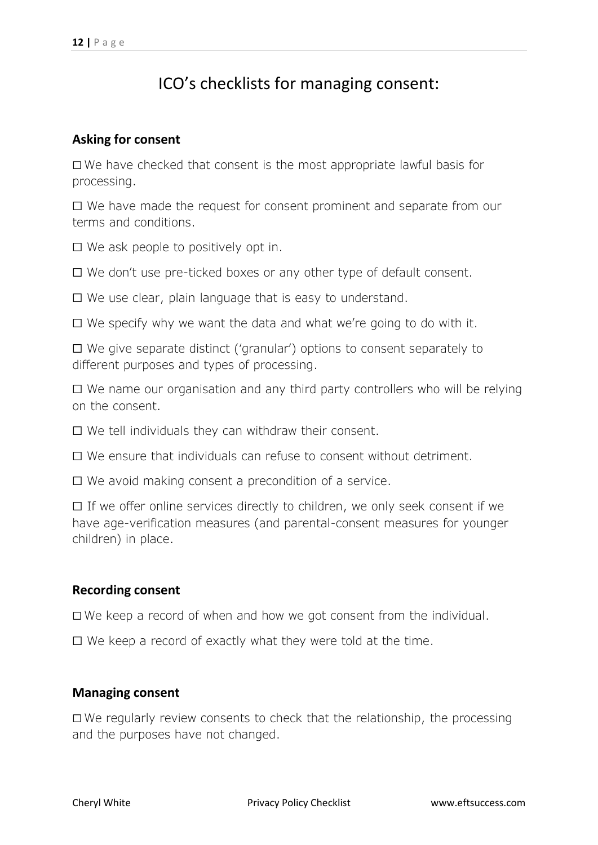## ICO's checklists for managing consent:

## **Asking for consent**

☐ We have checked that consent is the most appropriate lawful basis for processing.

☐ We have made the request for consent prominent and separate from our terms and conditions.

☐ We ask people to positively opt in.

☐ We don't use pre-ticked boxes or any other type of default consent.

☐ We use clear, plain language that is easy to understand.

 $\Box$  We specify why we want the data and what we're going to do with it.

☐ We give separate distinct ('granular') options to consent separately to different purposes and types of processing.

☐ We name our organisation and any third party controllers who will be relying on the consent.

☐ We tell individuals they can withdraw their consent.

☐ We ensure that individuals can refuse to consent without detriment.

☐ We avoid making consent a precondition of a service.

☐ If we offer online services directly to children, we only seek consent if we have age-verification measures (and parental-consent measures for younger children) in place.

### **Recording consent**

☐ We keep a record of when and how we got consent from the individual.

☐ We keep a record of exactly what they were told at the time.

### **Managing consent**

☐ We regularly review consents to check that the relationship, the processing and the purposes have not changed.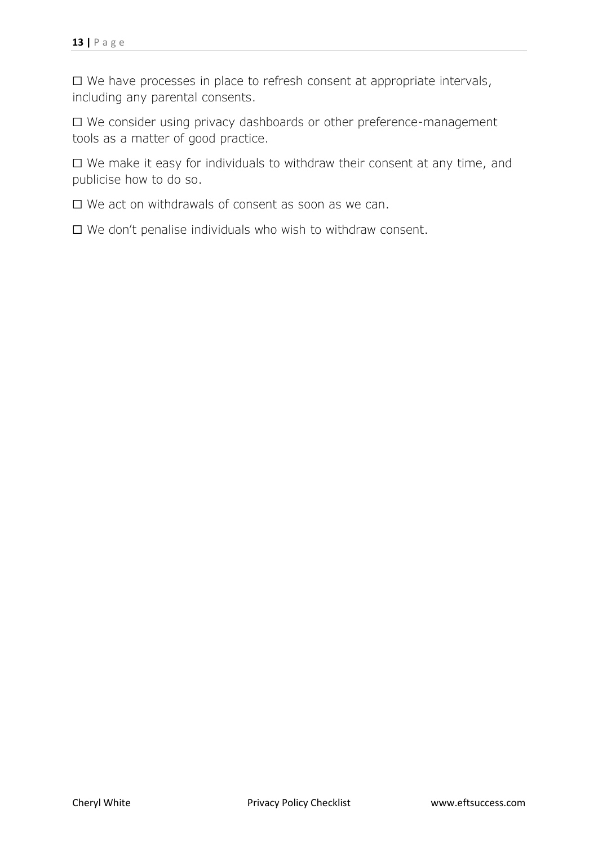☐ We have processes in place to refresh consent at appropriate intervals, including any parental consents.

☐ We consider using privacy dashboards or other preference-management tools as a matter of good practice.

☐ We make it easy for individuals to withdraw their consent at any time, and publicise how to do so.

☐ We act on withdrawals of consent as soon as we can.

☐ We don't penalise individuals who wish to withdraw consent.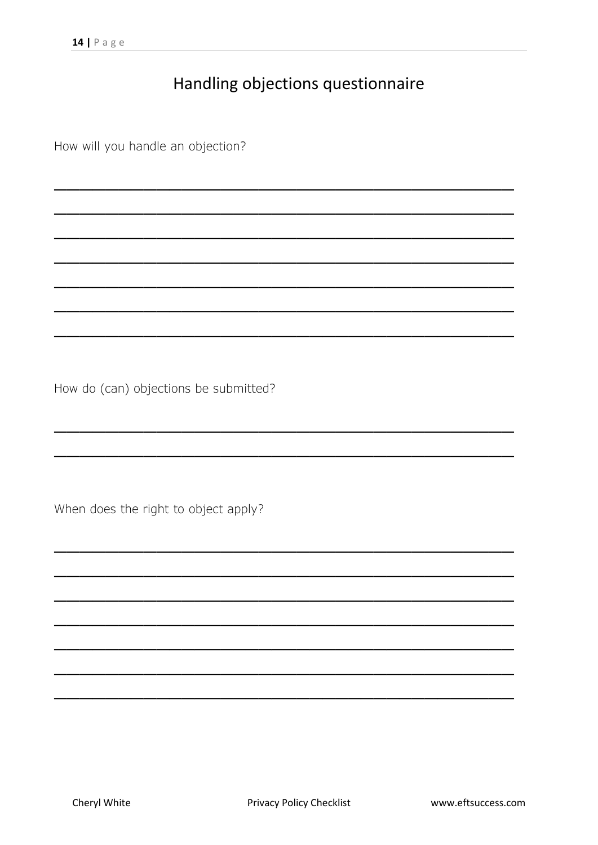## Handling objections questionnaire

How will you handle an objection?

How do (can) objections be submitted?

When does the right to object apply?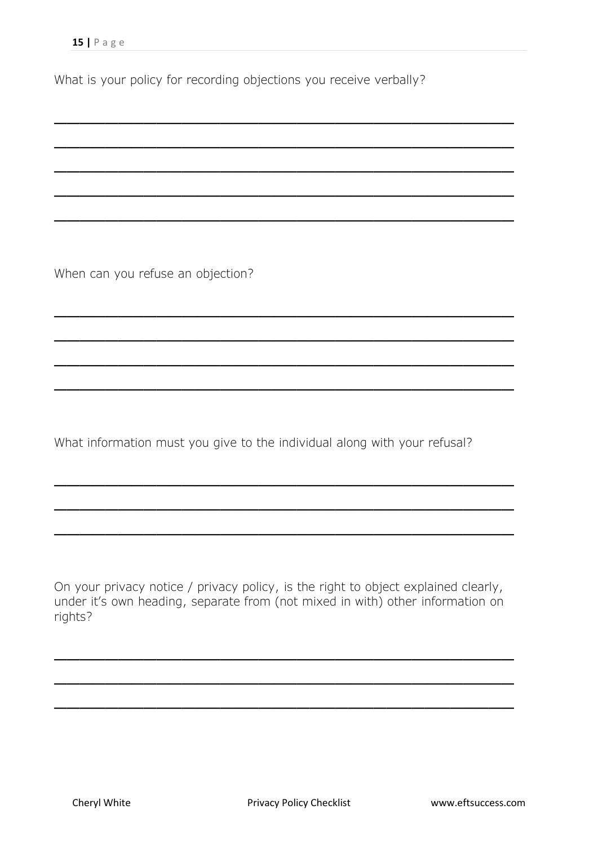What is your policy for recording objections you receive verbally?

\_\_\_\_\_\_\_\_\_\_\_\_\_\_\_\_\_\_\_\_\_\_\_\_\_\_\_\_\_\_\_\_\_\_\_\_

\_\_\_\_\_\_\_\_\_\_\_\_\_\_\_\_\_\_\_\_\_\_\_\_\_\_\_\_\_\_\_\_\_\_\_\_

\_\_\_\_\_\_\_\_\_\_\_\_\_\_\_\_\_\_\_\_\_\_\_\_\_\_\_\_\_\_\_\_\_\_\_\_

\_\_\_\_\_\_\_\_\_\_\_\_\_\_\_\_\_\_\_\_\_\_\_\_\_\_\_\_\_\_\_\_\_\_\_\_

\_\_\_\_\_\_\_\_\_\_\_\_\_\_\_\_\_\_\_\_\_\_\_\_\_\_\_\_\_\_\_\_\_\_\_\_

\_\_\_\_\_\_\_\_\_\_\_\_\_\_\_\_\_\_\_\_\_\_\_\_\_\_\_\_\_\_\_\_\_\_\_\_

\_\_\_\_\_\_\_\_\_\_\_\_\_\_\_\_\_\_\_\_\_\_\_\_\_\_\_\_\_\_\_\_\_\_\_\_

\_\_\_\_\_\_\_\_\_\_\_\_\_\_\_\_\_\_\_\_\_\_\_\_\_\_\_\_\_\_\_\_\_\_\_\_

\_\_\_\_\_\_\_\_\_\_\_\_\_\_\_\_\_\_\_\_\_\_\_\_\_\_\_\_\_\_\_\_\_\_\_\_

\_\_\_\_\_\_\_\_\_\_\_\_\_\_\_\_\_\_\_\_\_\_\_\_\_\_\_\_\_\_\_\_\_\_\_\_

\_\_\_\_\_\_\_\_\_\_\_\_\_\_\_\_\_\_\_\_\_\_\_\_\_\_\_\_\_\_\_\_\_\_\_\_

\_\_\_\_\_\_\_\_\_\_\_\_\_\_\_\_\_\_\_\_\_\_\_\_\_\_\_\_\_\_\_\_\_\_\_\_

When can you refuse an objection?

What information must you give to the individual along with your refusal?

On your privacy notice / privacy policy, is the right to object explained clearly, under it's own heading, separate from (not mixed in with) other information on rights?

\_\_\_\_\_\_\_\_\_\_\_\_\_\_\_\_\_\_\_\_\_\_\_\_\_\_\_\_\_\_\_\_\_\_\_\_

\_\_\_\_\_\_\_\_\_\_\_\_\_\_\_\_\_\_\_\_\_\_\_\_\_\_\_\_\_\_\_\_\_\_\_\_

\_\_\_\_\_\_\_\_\_\_\_\_\_\_\_\_\_\_\_\_\_\_\_\_\_\_\_\_\_\_\_\_\_\_\_\_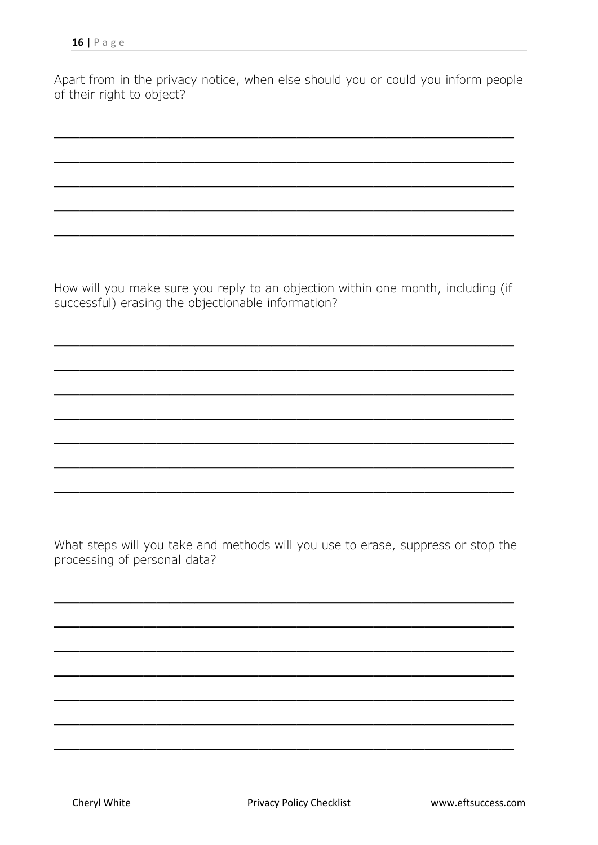Apart from in the privacy notice, when else should you or could you inform people of their right to object?

\_\_\_\_\_\_\_\_\_\_\_\_\_\_\_\_\_\_\_\_\_\_\_\_\_\_\_\_\_\_\_\_\_\_\_\_

\_\_\_\_\_\_\_\_\_\_\_\_\_\_\_\_\_\_\_\_\_\_\_\_\_\_\_\_\_\_\_\_\_\_\_\_

\_\_\_\_\_\_\_\_\_\_\_\_\_\_\_\_\_\_\_\_\_\_\_\_\_\_\_\_\_\_\_\_\_\_\_\_

\_\_\_\_\_\_\_\_\_\_\_\_\_\_\_\_\_\_\_\_\_\_\_\_\_\_\_\_\_\_\_\_\_\_\_\_

\_\_\_\_\_\_\_\_\_\_\_\_\_\_\_\_\_\_\_\_\_\_\_\_\_\_\_\_\_\_\_\_\_\_\_\_

How will you make sure you reply to an objection within one month, including (if successful) erasing the objectionable information?

\_\_\_\_\_\_\_\_\_\_\_\_\_\_\_\_\_\_\_\_\_\_\_\_\_\_\_\_\_\_\_\_\_\_\_\_

\_\_\_\_\_\_\_\_\_\_\_\_\_\_\_\_\_\_\_\_\_\_\_\_\_\_\_\_\_\_\_\_\_\_\_\_

\_\_\_\_\_\_\_\_\_\_\_\_\_\_\_\_\_\_\_\_\_\_\_\_\_\_\_\_\_\_\_\_\_\_\_\_

\_\_\_\_\_\_\_\_\_\_\_\_\_\_\_\_\_\_\_\_\_\_\_\_\_\_\_\_\_\_\_\_\_\_\_\_

\_\_\_\_\_\_\_\_\_\_\_\_\_\_\_\_\_\_\_\_\_\_\_\_\_\_\_\_\_\_\_\_\_\_\_\_

\_\_\_\_\_\_\_\_\_\_\_\_\_\_\_\_\_\_\_\_\_\_\_\_\_\_\_\_\_\_\_\_\_\_\_\_

\_\_\_\_\_\_\_\_\_\_\_\_\_\_\_\_\_\_\_\_\_\_\_\_\_\_\_\_\_\_\_\_\_\_\_\_

What steps will you take and methods will you use to erase, suppress or stop the processing of personal data?

\_\_\_\_\_\_\_\_\_\_\_\_\_\_\_\_\_\_\_\_\_\_\_\_\_\_\_\_\_\_\_\_\_\_\_\_

\_\_\_\_\_\_\_\_\_\_\_\_\_\_\_\_\_\_\_\_\_\_\_\_\_\_\_\_\_\_\_\_\_\_\_\_

\_\_\_\_\_\_\_\_\_\_\_\_\_\_\_\_\_\_\_\_\_\_\_\_\_\_\_\_\_\_\_\_\_\_\_\_

\_\_\_\_\_\_\_\_\_\_\_\_\_\_\_\_\_\_\_\_\_\_\_\_\_\_\_\_\_\_\_\_\_\_\_\_

\_\_\_\_\_\_\_\_\_\_\_\_\_\_\_\_\_\_\_\_\_\_\_\_\_\_\_\_\_\_\_\_\_\_\_\_

\_\_\_\_\_\_\_\_\_\_\_\_\_\_\_\_\_\_\_\_\_\_\_\_\_\_\_\_\_\_\_\_\_\_\_\_

\_\_\_\_\_\_\_\_\_\_\_\_\_\_\_\_\_\_\_\_\_\_\_\_\_\_\_\_\_\_\_\_\_\_\_\_